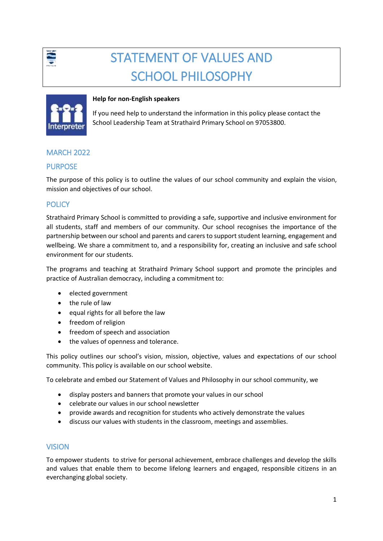

# STATEMENT OF VALUES AND SCHOOL PHILOSOPHY



#### **Help for non-English speakers**

If you need help to understand the information in this policy please contact the School Leadership Team at Strathaird Primary School on 97053800.

# MARCH 2022

#### PURPOSE

The purpose of this policy is to outline the values of our school community and explain the vision, mission and objectives of our school.

# **POLICY**

Strathaird Primary School is committed to providing a safe, supportive and inclusive environment for all students, staff and members of our community. Our school recognises the importance of the partnership between our school and parents and carers to support student learning, engagement and wellbeing. We share a commitment to, and a responsibility for, creating an inclusive and safe school environment for our students.

The programs and teaching at Strathaird Primary School support and promote the principles and practice of Australian democracy, including a commitment to:

- elected government
- the rule of law
- equal rights for all before the law
- freedom of religion
- freedom of speech and association
- the values of openness and tolerance.

This policy outlines our school's vision, mission, objective, values and expectations of our school community. This policy is available on our school website.

To celebrate and embed our Statement of Values and Philosophy in our school community, we

- display posters and banners that promote your values in our school
- celebrate our values in our school newsletter
- provide awards and recognition for students who actively demonstrate the values
- discuss our values with students in the classroom, meetings and assemblies.

#### VISION

To empower students to strive for personal achievement, embrace challenges and develop the skills and values that enable them to become lifelong learners and engaged, responsible citizens in an everchanging global society.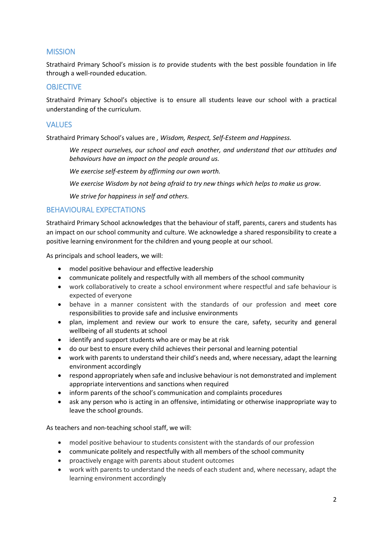#### **MISSION**

Strathaird Primary School's mission is *to* provide students with the best possible foundation in life through a well-rounded education.

#### **OBJECTIVE**

Strathaird Primary School's objective is to ensure all students leave our school with a practical understanding of the curriculum.

#### VALUES

Strathaird Primary School's values are *, Wisdom, Respect, Self-Esteem and Happiness.*

*We respect ourselves, our school and each another, and understand that our attitudes and behaviours have an impact on the people around us.* 

*We exercise self-esteem by affirming our own worth.*

*We exercise Wisdom by not being afraid to try new things which helps to make us grow.*

*We strive for happiness in self and others.* 

#### BEHAVIOURAL EXPECTATIONS

Strathaird Primary School acknowledges that the behaviour of staff, parents, carers and students has an impact on our school community and culture. We acknowledge a shared responsibility to create a positive learning environment for the children and young people at our school.

As principals and school leaders, we will:

- model positive behaviour and effective leadership
- communicate politely and respectfully with all members of the school community
- work collaboratively to create a school environment where respectful and safe behaviour is expected of everyone
- behave in a manner consistent with the standards of our profession and meet core responsibilities to provide safe and inclusive environments
- plan, implement and review our work to ensure the care, safety, security and general wellbeing of all students at school
- identify and support students who are or may be at risk
- do our best to ensure every child achieves their personal and learning potential
- work with parents to understand their child's needs and, where necessary, adapt the learning environment accordingly
- respond appropriately when safe and inclusive behaviour is not demonstrated and implement appropriate interventions and sanctions when required
- inform parents of the school's communication and complaints procedures
- ask any person who is acting in an offensive, intimidating or otherwise inappropriate way to leave the school grounds.

As teachers and non-teaching school staff, we will:

- model positive behaviour to students consistent with the standards of our profession
- communicate politely and respectfully with all members of the school community
- proactively engage with parents about student outcomes
- work with parents to understand the needs of each student and, where necessary, adapt the learning environment accordingly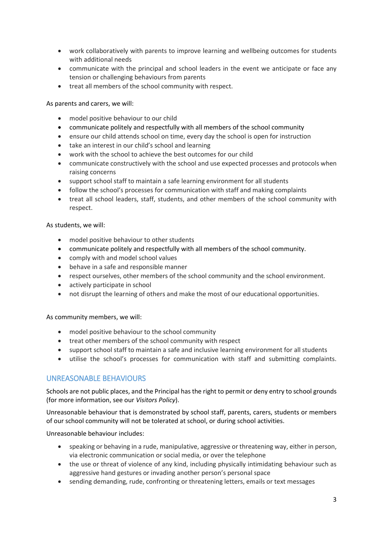- work collaboratively with parents to improve learning and wellbeing outcomes for students with additional needs
- communicate with the principal and school leaders in the event we anticipate or face any tension or challenging behaviours from parents
- treat all members of the school community with respect.

As parents and carers, we will:

- model positive behaviour to our child
- communicate politely and respectfully with all members of the school community
- ensure our child attends school on time, every day the school is open for instruction
- take an interest in our child's school and learning
- work with the school to achieve the best outcomes for our child
- communicate constructively with the school and use expected processes and protocols when raising concerns
- support school staff to maintain a safe learning environment for all students
- follow the school's processes for communication with staff and making complaints
- treat all school leaders, staff, students, and other members of the school community with respect.

#### As students, we will:

- model positive behaviour to other students
- communicate politely and respectfully with all members of the school community.
- comply with and model school values
- behave in a safe and responsible manner
- respect ourselves, other members of the school community and the school environment.
- actively participate in school
- not disrupt the learning of others and make the most of our educational opportunities.

As community members, we will:

- model positive behaviour to the school community
- treat other members of the school community with respect
- support school staff to maintain a safe and inclusive learning environment for all students
- utilise the school's processes for communication with staff and submitting complaints.

#### UNREASONABLE BEHAVIOURS

Schools are not public places, and the Principal has the right to permit or deny entry to school grounds (for more information, see our *Visitors Policy*).

Unreasonable behaviour that is demonstrated by school staff, parents, carers, students or members of our school community will not be tolerated at school, or during school activities.

Unreasonable behaviour includes:

- speaking or behaving in a rude, manipulative, aggressive or threatening way, either in person, via electronic communication or social media, or over the telephone
- the use or threat of violence of any kind, including physically intimidating behaviour such as aggressive hand gestures or invading another person's personal space
- sending demanding, rude, confronting or threatening letters, emails or text messages